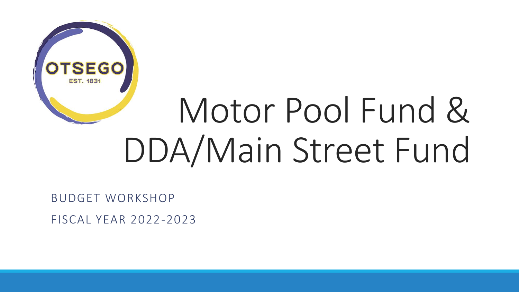

# Motor Pool Fund & DDA/Main Street Fund

BUDGET WORKSHOP

FISCAL YEAR 2022-2023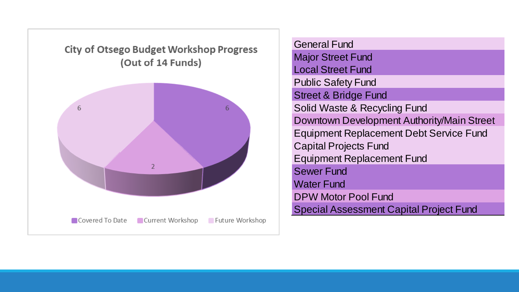**City of Otsego Budget Workshop Progress** (Out of 14 Funds)



General Fund **Major Street Fund** Local Street Fund Public Safety Fund Street & Bridge Fund Solid Waste & Recycling Fund Downtown Development Authority/Main Street Equipment Replacement Debt Service Fund Capital Projects Fund Equipment Replacement Fund Sewer Fund Water Fund DPW Motor Pool Fund Special Assessment Capital Project Fund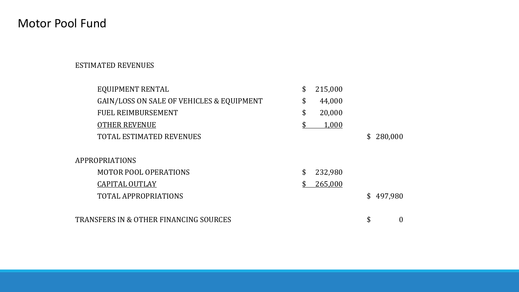# Motor Pool Fund

#### ESTIMATED REVENUES

| EQUIPMENT RENTAL                                  | \$<br>215,000 |                |          |
|---------------------------------------------------|---------------|----------------|----------|
| GAIN/LOSS ON SALE OF VEHICLES & EQUIPMENT         | \$<br>44,000  |                |          |
| <b>FUEL REIMBURSEMENT</b>                         | \$<br>20,000  |                |          |
| <b>OTHER REVENUE</b>                              | 1,000         |                |          |
| <b>TOTAL ESTIMATED REVENUES</b>                   |               | $\mathbb{S}^-$ | 280,000  |
|                                                   |               |                |          |
| APPROPRIATIONS                                    |               |                |          |
| <b>MOTOR POOL OPERATIONS</b>                      | \$<br>232,980 |                |          |
| <b>CAPITAL OUTLAY</b>                             | \$<br>265,000 |                |          |
| <b>TOTAL APPROPRIATIONS</b>                       |               | \$             | 497,980  |
|                                                   |               |                |          |
| <b>TRANSFERS IN &amp; OTHER FINANCING SOURCES</b> |               | \$             | $\theta$ |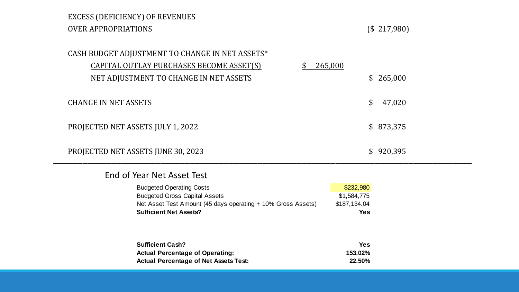### EXCESS (DEFICIENCY) OF REVENUES OVER APPROPRIATIONS (\$ 217,980)

|                             | CASH BUDGET ADJUSTMENT TO CHANGE IN NET ASSETS*<br>CAPITAL OUTLAY PURCHASES BECOME ASSET(S)<br>NET ADJUSTMENT TO CHANGE IN NET ASSETS                                    | 265,000                                                | \$265,000 |
|-----------------------------|--------------------------------------------------------------------------------------------------------------------------------------------------------------------------|--------------------------------------------------------|-----------|
| <b>CHANGE IN NET ASSETS</b> |                                                                                                                                                                          | \$                                                     | 47,020    |
|                             | PROJECTED NET ASSETS JULY 1, 2022                                                                                                                                        |                                                        | \$873,375 |
|                             | PROJECTED NET ASSETS JUNE 30, 2023                                                                                                                                       |                                                        | \$920,395 |
|                             | End of Year Net Asset Test                                                                                                                                               |                                                        |           |
|                             | <b>Budgeted Operating Costs</b><br><b>Budgeted Gross Capital Assets</b><br>Net Asset Test Amount (45 days operating + 10% Gross Assets)<br><b>Sufficient Net Assets?</b> | \$232,980<br>\$1,584,775<br>\$187,134.04<br><b>Yes</b> |           |
|                             | <b>Sufficient Cash?</b><br><b>Actual Percentage of Operating:</b><br><b>Actual Percentage of Net Assets Test:</b>                                                        | <b>Yes</b><br>153.02%<br>22.50%                        |           |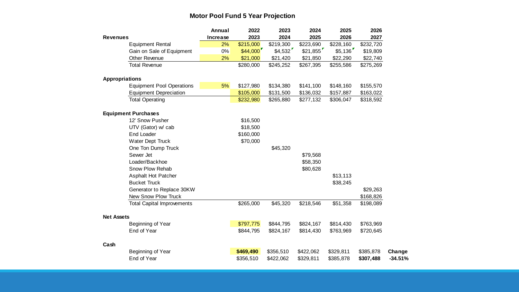#### **Motor Pool Fund 5 Year Projection**

|                       |                                   | Annual          | 2022      | 2023      | 2024      | 2025      | 2026      |           |
|-----------------------|-----------------------------------|-----------------|-----------|-----------|-----------|-----------|-----------|-----------|
| <b>Revenues</b>       |                                   | <b>Increase</b> | 2023      | 2024      | 2025      | 2026      | 2027      |           |
|                       | <b>Equipment Rental</b>           | 2%              | \$215,000 | \$219,300 | \$223,690 | \$228,160 | \$232,720 |           |
|                       | Gain on Sale of Equipment         | 0%              | \$44,000  | \$4,532   | \$21,855  | \$5,136   | \$19,809  |           |
|                       | Other Revenue                     | 2%              | \$21,000  | \$21,420  | \$21,850  | \$22,290  | \$22,740  |           |
|                       | <b>Total Revenue</b>              |                 | \$280,000 | \$245,252 | \$267,395 | \$255,586 | \$275,269 |           |
| <b>Appropriations</b> |                                   |                 |           |           |           |           |           |           |
|                       | <b>Equipment Pool Operations</b>  | 5%              | \$127,980 | \$134,380 | \$141,100 | \$148,160 | \$155,570 |           |
|                       | <b>Equipment Depreciation</b>     |                 | \$105,000 | \$131,500 | \$136,032 | \$157,887 | \$163,022 |           |
|                       | <b>Total Operating</b>            |                 | \$232,980 | \$265,880 | \$277,132 | \$306,047 | \$318,592 |           |
|                       | <b>Equipment Purchases</b>        |                 |           |           |           |           |           |           |
|                       | 12' Snow Pusher                   |                 | \$16,500  |           |           |           |           |           |
|                       | UTV (Gator) w/ cab                |                 | \$18,500  |           |           |           |           |           |
|                       | <b>End Loader</b>                 |                 | \$160,000 |           |           |           |           |           |
|                       | Water Dept Truck                  |                 | \$70,000  |           |           |           |           |           |
|                       | One Ton Dump Truck                |                 |           | \$45,320  |           |           |           |           |
|                       | Sewer Jet                         |                 |           |           | \$79,568  |           |           |           |
|                       | Loader/Backhoe                    |                 |           |           | \$58,350  |           |           |           |
|                       | Snow Plow Rehab                   |                 |           |           | \$80,628  |           |           |           |
|                       | Asphalt Hot Patcher               |                 |           |           |           | \$13,113  |           |           |
|                       | <b>Bucket Truck</b>               |                 |           |           |           | \$38,245  |           |           |
|                       | Generator to Replace 30KW         |                 |           |           |           |           | \$29,263  |           |
|                       | New Snow Plow Truck               |                 |           |           |           |           | \$168,826 |           |
|                       | <b>Total Capital Improvements</b> |                 | \$265,000 | \$45,320  | \$218,546 | \$51,358  | \$198,089 |           |
| <b>Net Assets</b>     |                                   |                 |           |           |           |           |           |           |
|                       | Beginning of Year                 |                 | \$797,775 | \$844,795 | \$824,167 | \$814,430 | \$763,969 |           |
|                       | End of Year                       |                 | \$844,795 | \$824,167 | \$814,430 | \$763,969 | \$720,645 |           |
| Cash                  |                                   |                 |           |           |           |           |           |           |
|                       | Beginning of Year                 |                 | \$469,490 | \$356,510 | \$422,062 | \$329,811 | \$385,878 | Change    |
|                       | End of Year                       |                 | \$356,510 | \$422,062 | \$329,811 | \$385,878 | \$307,488 | $-34.51%$ |
|                       |                                   |                 |           |           |           |           |           |           |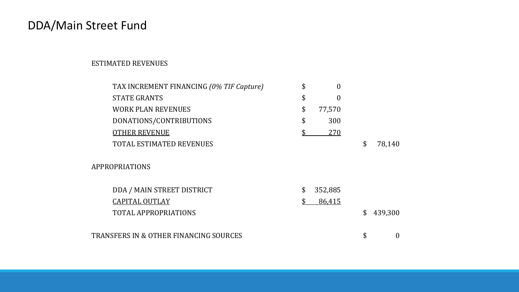# DDA/Main Street Fund

#### ESTIMATED REVENUES

| TAX INCREMENT FINANCING (0% TIF Capture) | \$<br>$\theta$         |                        |
|------------------------------------------|------------------------|------------------------|
| <b>STATE GRANTS</b>                      | \$<br>$\boldsymbol{0}$ |                        |
| <b>WORK PLAN REVENUES</b>                | \$<br>77,570           |                        |
| DONATIONS/CONTRIBUTIONS                  | \$<br>300              |                        |
| <b>OTHER REVENUE</b>                     | 270                    |                        |
| <b>TOTAL ESTIMATED REVENUES</b>          |                        | \$<br>78,140           |
| <b>APPROPRIATIONS</b>                    |                        |                        |
| DDA / MAIN STREET DISTRICT               | \$<br>352,885          |                        |
| <b>CAPITAL OUTLAY</b>                    | 86,415                 |                        |
| <b>TOTAL APPROPRIATIONS</b>              |                        | \$<br>439,300          |
|                                          |                        |                        |
| TRANSFERS IN & OTHER FINANCING SOURCES   |                        | \$<br>$\boldsymbol{0}$ |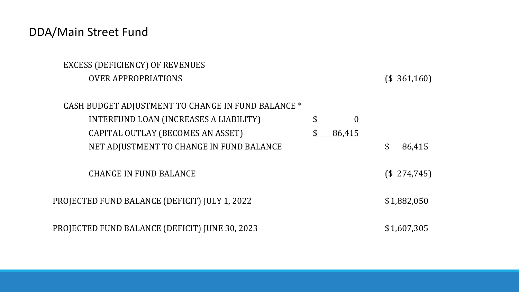# DDA/Main Street Fund

| EXCESS (DEFICIENCY) OF REVENUES                    |                      |              |  |
|----------------------------------------------------|----------------------|--------------|--|
| <b>OVER APPROPRIATIONS</b>                         |                      | (\$361,160)  |  |
|                                                    |                      |              |  |
| CASH BUDGET ADJUSTMENT TO CHANGE IN FUND BALANCE * |                      |              |  |
| INTERFUND LOAN (INCREASES A LIABILITY)             | \$<br>$\overline{0}$ |              |  |
| <b>CAPITAL OUTLAY (BECOMES AN ASSET)</b>           | 86,415               |              |  |
| NET ADJUSTMENT TO CHANGE IN FUND BALANCE           |                      | \$<br>86,415 |  |
|                                                    |                      |              |  |
| <b>CHANGE IN FUND BALANCE</b>                      |                      | (\$274,745)  |  |
|                                                    |                      |              |  |
| PROJECTED FUND BALANCE (DEFICIT) JULY 1, 2022      |                      | \$1,882,050  |  |
|                                                    |                      |              |  |
| PROJECTED FUND BALANCE (DEFICIT) JUNE 30, 2023     |                      | \$1,607,305  |  |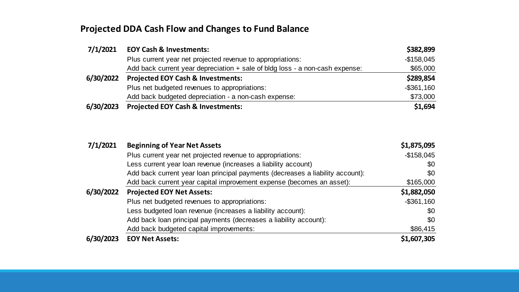### **Projected DDA Cash Flow and Changes to Fund Balance**

| 7/1/2021  | <b>EOY Cash &amp; Investments:</b>                                             | \$382,899     |
|-----------|--------------------------------------------------------------------------------|---------------|
|           | Plus current year net projected revenue to appropriations:                     | $-$158,045$   |
|           | Add back current year depreciation $+$ sale of bldg loss - a non-cash expense: | \$65,000      |
| 6/30/2022 | <b>Projected EOY Cash &amp; Investments:</b>                                   | \$289,854     |
|           | Plus net budgeted revenues to appropriations:                                  | $-$ \$361,160 |
|           | Add back budgeted depreciation - a non-cash expense:                           | \$73,000      |
| 6/30/2023 | <b>Projected EOY Cash &amp; Investments:</b>                                   | \$1,694       |

| 7/1/2021  | <b>Beginning of Year Net Assets</b>                                            | \$1,875,095   |
|-----------|--------------------------------------------------------------------------------|---------------|
|           | Plus current year net projected revenue to appropriations:                     | $-$158,045$   |
|           | Less current year loan revenue (increases a liability account)                 | \$0           |
|           | Add back current year loan principal payments (decreases a liability account): | \$0           |
|           | Add back current year capital improvement expense (becomes an asset):          | \$165,000     |
| 6/30/2022 | <b>Projected EOY Net Assets:</b>                                               | \$1,882,050   |
|           | Plus net budgeted revenues to appropriations:                                  | $-$ \$361,160 |
|           | Less budgeted loan revenue (increases a liability account):                    | \$0           |
|           | Add back loan principal payments (decreases a liability account):              | \$0           |
|           | Add back budgeted capital improvements:                                        | \$86,415      |
| 6/30/2023 | <b>EOY Net Assets:</b>                                                         | \$1,607,305   |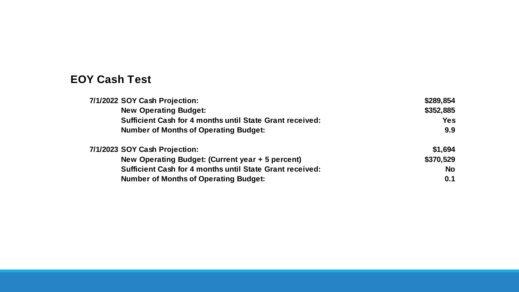## **EOY Cash Test**

| 7/1/2022 SOY Cash Projection:                                   | \$289,854 |
|-----------------------------------------------------------------|-----------|
| <b>New Operating Budget:</b>                                    | \$352,885 |
| <b>Sufficient Cash for 4 months until State Grant received:</b> | Yes       |
| <b>Number of Months of Operating Budget:</b>                    | 9.9       |
| 7/1/2023 SOY Cash Projection:                                   | \$1,694   |
| New Operating Budget: (Current year + 5 percent)                | \$370,529 |
| <b>Sufficient Cash for 4 months until State Grant received:</b> | <b>No</b> |
| <b>Number of Months of Operating Budget:</b>                    | 0.1       |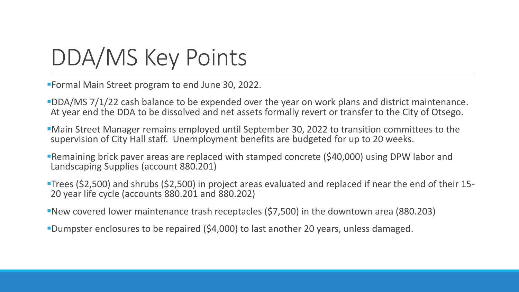# DDA/MS Key Points

Formal Main Street program to end June 30, 2022.

- DDA/MS 7/1/22 cash balance to be expended over the year on work plans and district maintenance. At year end the DDA to be dissolved and net assets formally revert or transfer to the City of Otsego.
- Main Street Manager remains employed until September 30, 2022 to transition committees to the supervision of City Hall staff. Unemployment benefits are budgeted for up to 20 weeks.
- Remaining brick paver areas are replaced with stamped concrete (\$40,000) using DPW labor and Landscaping Supplies (account 880.201)
- Trees (\$2,500) and shrubs (\$2,500) in project areas evaluated and replaced if near the end of their 15- 20 year life cycle (accounts 880.201 and 880.202)
- New covered lower maintenance trash receptacles (\$7,500) in the downtown area (880.203)
- Dumpster enclosures to be repaired (\$4,000) to last another 20 years, unless damaged.